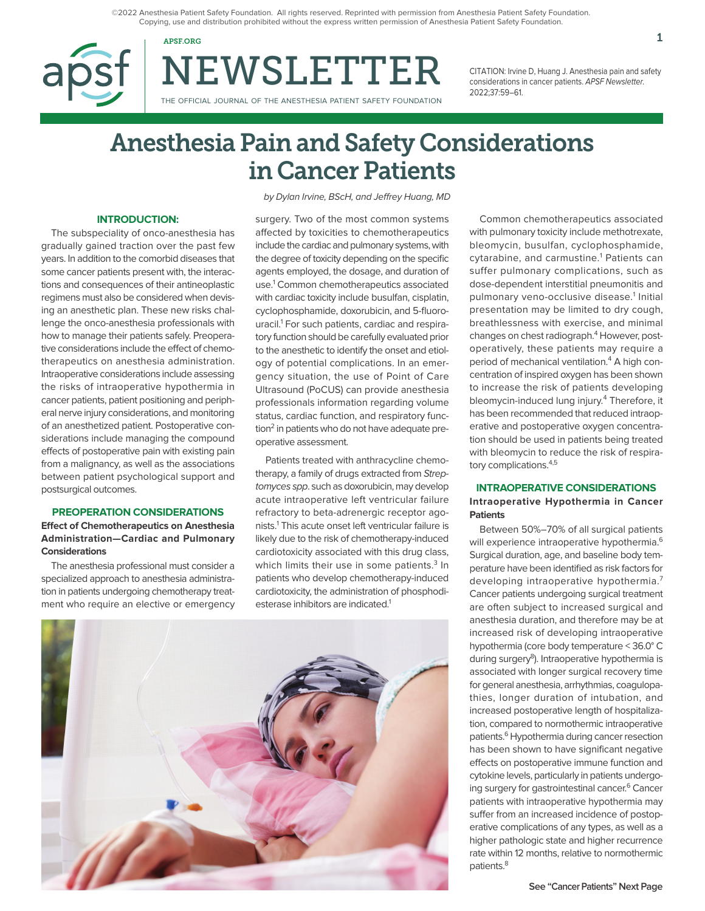©2022 Anesthesia Patient Safety Foundation. All rights reserved. Reprinted with permission from Anesthesia Patient Safety Foundation. Copying, use and distribution prohibited without the express written permission of Anesthesia Patient Safety Foundation.

APSF.ORG  $1$ 



NEWSLETTER

THE OFFICIAL JOURNAL OF THE ANESTHESIA PATIENT SAFETY FOUNDATION

CITATION: Irvine D, Huang J. Anesthesia pain and safety considerations in cancer patients. APSF Newsletter. 2022;37:59–61.

# Anesthesia Pain and Safety Considerations in Cancer Patients

#### **INTRODUCTION:**

The subspeciality of onco-anesthesia has gradually gained traction over the past few years. In addition to the comorbid diseases that some cancer patients present with, the interactions and consequences of their antineoplastic regimens must also be considered when devising an anesthetic plan. These new risks challenge the onco-anesthesia professionals with how to manage their patients safely. Preoperative considerations include the effect of chemotherapeutics on anesthesia administration. Intraoperative considerations include assessing the risks of intraoperative hypothermia in cancer patients, patient positioning and peripheral nerve injury considerations, and monitoring of an anesthetized patient. Postoperative considerations include managing the compound effects of postoperative pain with existing pain from a malignancy, as well as the associations between patient psychological support and postsurgical outcomes.

# **PREOPERATION CONSIDERATIONS**

### **Effect of Chemotherapeutics on Anesthesia Administration—Cardiac and Pulmonary Considerations**

The anesthesia professional must consider a specialized approach to anesthesia administration in patients undergoing chemotherapy treatment who require an elective or emergency by Dylan Irvine, BScH, and Jeffrey Huang, MD

surgery. Two of the most common systems affected by toxicities to chemotherapeutics include the cardiac and pulmonary systems, with the degree of toxicity depending on the specific agents employed, the dosage, and duration of use.<sup>1</sup> Common chemotherapeutics associated with cardiac toxicity include busulfan, cisplatin, cyclophosphamide, doxorubicin, and 5-fluorouracil.<sup>1</sup> For such patients, cardiac and respiratory function should be carefully evaluated prior to the anesthetic to identify the onset and etiology of potential complications. In an emergency situation, the use of Point of Care Ultrasound (PoCUS) can provide anesthesia professionals information regarding volume status, cardiac function, and respiratory function<sup>2</sup> in patients who do not have adequate preoperative assessment.

Patients treated with anthracycline chemotherapy, a family of drugs extracted from Streptomyces spp. such as doxorubicin, may develop acute intraoperative left ventricular failure refractory to beta-adrenergic receptor agonists.1 This acute onset left ventricular failure is likely due to the risk of chemotherapy-induced cardiotoxicity associated with this drug class, which limits their use in some patients.<sup>3</sup> In patients who develop chemotherapy-induced cardiotoxicity, the administration of phosphodiesterase inhibitors are indicated.<sup>1</sup>



Common chemotherapeutics associated with pulmonary toxicity include methotrexate, bleomycin, busulfan, cyclophosphamide, cytarabine, and carmustine.<sup>1</sup> Patients can suffer pulmonary complications, such as dose-dependent interstitial pneumonitis and pulmonary veno-occlusive disease.<sup>1</sup> Initial presentation may be limited to dry cough, breathlessness with exercise, and minimal changes on chest radiograph.<sup>4</sup> However, postoperatively, these patients may require a period of mechanical ventilation.<sup>4</sup> A high concentration of inspired oxygen has been shown to increase the risk of patients developing bleomycin-induced lung injury.<sup>4</sup> Therefore, it has been recommended that reduced intraoperative and postoperative oxygen concentration should be used in patients being treated with bleomycin to reduce the risk of respiratory complications.<sup>4,5</sup>

### **INTRAOPERATIVE CONSIDERATIONS**

### **Intraoperative Hypothermia in Cancer Patients**

Between 50%–70% of all surgical patients will experience intraoperative hypothermia.<sup>6</sup> Surgical duration, age, and baseline body temperature have been identified as risk factors for developing intraoperative hypothermia.<sup>7</sup> Cancer patients undergoing surgical treatment are often subject to increased surgical and anesthesia duration, and therefore may be at increased risk of developing intraoperative hypothermia (core body temperature < 36.0° C during surgery<sup>8</sup>). Intraoperative hypothermia is associated with longer surgical recovery time for general anesthesia, arrhythmias, coagulopathies, longer duration of intubation, and increased postoperative length of hospitalization, compared to normothermic intraoperative patients.<sup>6</sup> Hypothermia during cancer resection has been shown to have significant negative effects on postoperative immune function and cytokine levels, particularly in patients undergoing surgery for gastrointestinal cancer.<sup>6</sup> Cancer patients with intraoperative hypothermia may suffer from an increased incidence of postoperative complications of any types, as well as a higher pathologic state and higher recurrence rate within 12 months, relative to normothermic patients.<sup>8</sup>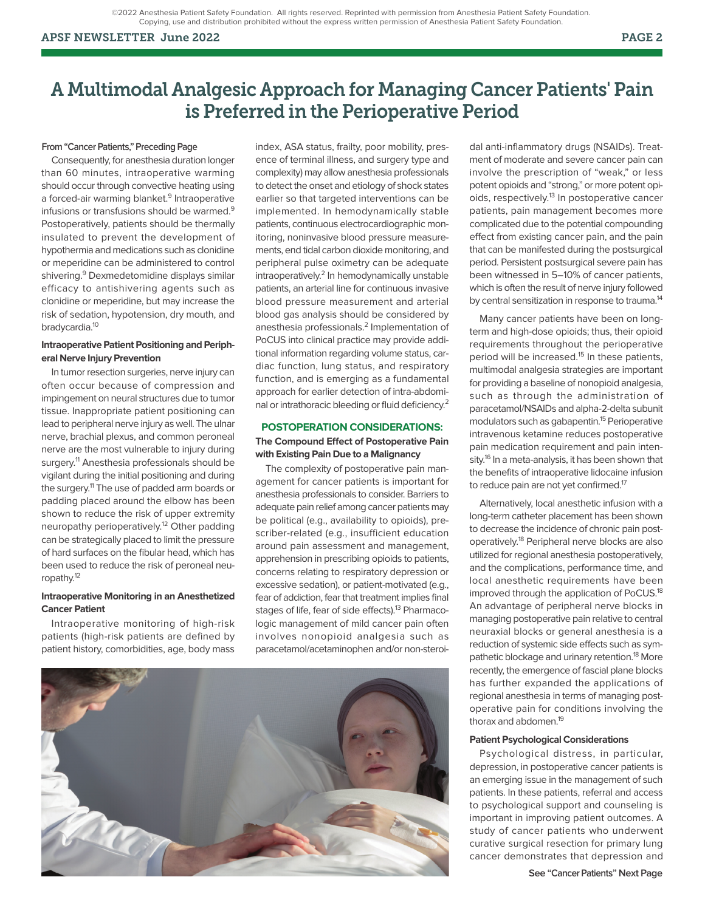©2022 Anesthesia Patient Safety Foundation. All rights reserved. Reprinted with permission from Anesthesia Patient Safety Foundation. Copying, use and distribution prohibited without the express written permission of Anesthesia Patient Safety Foundation.

#### APSF NEWSLETTER June 2022 PAGE 2

#### **From "Cancer Patients," Preceding Page**

Consequently, for anesthesia duration longer than 60 minutes, intraoperative warming should occur through convective heating using a forced-air warming blanket.<sup>9</sup> Intraoperative infusions or transfusions should be warmed.<sup>9</sup> Postoperatively, patients should be thermally insulated to prevent the development of hypothermia and medications such as clonidine or meperidine can be administered to control shivering.<sup>9</sup> Dexmedetomidine displays similar efficacy to antishivering agents such as clonidine or meperidine, but may increase the risk of sedation, hypotension, dry mouth, and bradycardia.10

#### **Intraoperative Patient Positioning and Peripheral Nerve Injury Prevention**

In tumor resection surgeries, nerve injury can often occur because of compression and impingement on neural structures due to tumor tissue. Inappropriate patient positioning can lead to peripheral nerve injury as well. The ulnar nerve, brachial plexus, and common peroneal nerve are the most vulnerable to injury during surgery.<sup>11</sup> Anesthesia professionals should be vigilant during the initial positioning and during the surgery.<sup>11</sup> The use of padded arm boards or padding placed around the elbow has been shown to reduce the risk of upper extremity neuropathy perioperatively.<sup>12</sup> Other padding can be strategically placed to limit the pressure of hard surfaces on the fibular head, which has been used to reduce the risk of peroneal neuropathy.12

### **Intraoperative Monitoring in an Anesthetized Cancer Patient**

Intraoperative monitoring of high-risk patients (high-risk patients are defined by patient history, comorbidities, age, body mass

index, ASA status, frailty, poor mobility, presence of terminal illness, and surgery type and complexity) may allow anesthesia professionals to detect the onset and etiology of shock states earlier so that targeted interventions can be implemented. In hemodynamically stable patients, continuous electrocardiographic monitoring, noninvasive blood pressure measurements, end tidal carbon dioxide monitoring, and peripheral pulse oximetry can be adequate intraoperatively.<sup>2</sup> In hemodynamically unstable patients, an arterial line for continuous invasive blood pressure measurement and arterial blood gas analysis should be considered by anesthesia professionals.<sup>2</sup> Implementation of PoCUS into clinical practice may provide additional information regarding volume status, cardiac function, lung status, and respiratory function, and is emerging as a fundamental approach for earlier detection of intra-abdominal or intrathoracic bleeding or fluid deficiency.<sup>2</sup>

# **POSTOPERATION CONSIDERATIONS: The Compound Effect of Postoperative Pain with Existing Pain Due to a Malignancy**

The complexity of postoperative pain management for cancer patients is important for anesthesia professionals to consider. Barriers to adequate pain relief among cancer patients may be political (e.g., availability to opioids), prescriber-related (e.g., insufficient education around pain assessment and management, apprehension in prescribing opioids to patients, concerns relating to respiratory depression or excessive sedation), or patient-motivated (e.g., fear of addiction, fear that treatment implies final stages of life, fear of side effects).<sup>13</sup> Pharmacologic management of mild cancer pain often involves nonopioid analgesia such as paracetamol/acetaminophen and/or non-steroi-



dal anti-inflammatory drugs (NSAIDs). Treatment of moderate and severe cancer pain can involve the prescription of "weak," or less potent opioids and "strong," or more potent opioids, respectively.<sup>13</sup> In postoperative cancer patients, pain management becomes more complicated due to the potential compounding effect from existing cancer pain, and the pain that can be manifested during the postsurgical period. Persistent postsurgical severe pain has been witnessed in 5–10% of cancer patients, which is often the result of nerve injury followed by central sensitization in response to trauma.<sup>14</sup>

Many cancer patients have been on longterm and high-dose opioids; thus, their opioid requirements throughout the perioperative period will be increased.<sup>15</sup> In these patients, multimodal analgesia strategies are important for providing a baseline of nonopioid analgesia, such as through the administration of paracetamol/NSAIDs and alpha-2-delta subunit modulators such as gabapentin.<sup>15</sup> Perioperative intravenous ketamine reduces postoperative pain medication requirement and pain intensity.<sup>16</sup> In a meta-analysis, it has been shown that the benefits of intraoperative lidocaine infusion to reduce pain are not yet confirmed.<sup>17</sup>

Alternatively, local anesthetic infusion with a long-term catheter placement has been shown to decrease the incidence of chronic pain postoperatively.18 Peripheral nerve blocks are also utilized for regional anesthesia postoperatively, and the complications, performance time, and local anesthetic requirements have been improved through the application of PoCUS.<sup>18</sup> An advantage of peripheral nerve blocks in managing postoperative pain relative to central neuraxial blocks or general anesthesia is a reduction of systemic side effects such as sympathetic blockage and urinary retention.<sup>18</sup> More recently, the emergence of fascial plane blocks has further expanded the applications of regional anesthesia in terms of managing postoperative pain for conditions involving the thorax and abdomen.<sup>19</sup>

#### **Patient Psychological Considerations**

Psychological distress, in particular, depression, in postoperative cancer patients is an emerging issue in the management of such patients. In these patients, referral and access to psychological support and counseling is important in improving patient outcomes. A study of cancer patients who underwent curative surgical resection for primary lung cancer demonstrates that depression and